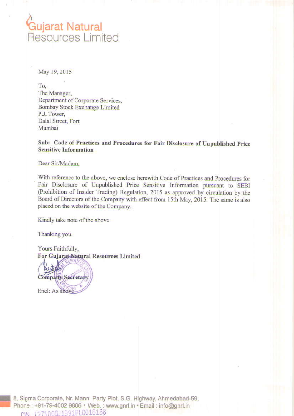# **Gujarat Natural**<br>Resources Limited

May 19, 2015

To. The Manager, Department of Corporate Services, Bombay Stock Exchange Limited P.J. Tower, Dalal Street, Fort Mumbai

Sub: Code of Practices and Procedures for Fair Disclosure of Unpublished Price **Sensitive Information** 

Dear Sir/Madam,

With reference to the above, we enclose herewith Code of Practices and Procedures for Fair Disclosure of Unpublished Price Sensitive Information pursuant to SEBI (Prohibition of Insider Trading) Regulation, 2015 as approved by circulation by the Board of Directors of the Company with effect from 15th May, 2015. The same is also placed on the website of the Company.

Kindly take note of the above.

Thanking you.

Yours Faithfully, For Gujarat Natural Resources Limited

Company Secretary Encl: As above

8, Sigma Corporate, Nr. Mann Party Plot, S.G. Highway, Ahmedabad-59. Phone: +91-79-4002 9806 · Web.: www.gnrl.in · Email: info@gnrl.in CIN-127100GJ1991PLC016158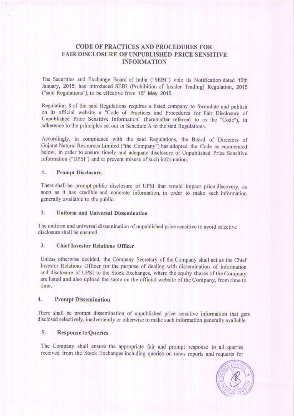# **CODE OF PRACTICES AND PROCEDURES FOR FAIR DISCLOSURE OF UNPUBLISHED PRICE SENSITIVE INFORMATION**

The Securities and Exchange Board of India ("SEBI") vide its Notification dated 15th January, 2015, has introduced SEBI (Prohibition of Insider Trading) Regulation, 2015 ("said Regulations"), to be effective from 15<sup>th</sup> May, 2015.

Regulation 8 of the said Regulations requires a listed company to formulate and publish on its official website a "Code of Practices and Procedures for Fair Disclosure of Unpublished Price Sensitive Information" (hereinafter referred to as the "Code"), in adherence to the principles set out in Schedule A to the said Regulations.

Accordingly, in compliance with the said Regulations, the Board of Directors of Gujarat Natural Resources Limited ("the Company") has adopted the Code as enumerated below, in order to ensure timely and adequate disclosure of Unpublished Price Sensitive Information ("UPSI") and to prevent misuse of such information.

# $\overline{1}$ . **Prompt Disclosure.**

There shall be prompt public disclosure of UPSI that would impact price discovery, as soon as it has credible and concrete information, in order to make such information generally available to the public.

## $2.$ Uniform and Universal Dissemination

The uniform and universal dissemination of unpublished price sensitive to avoid selective disclosure shall be ensured.

# **Chief Investor Relations Officer** 3.

Unless otherwise decided, the Company Secretary of the Company shall act as the Chief Investor Relations Officer for the purpose of dealing with dissemination of information and disclosure of UPSI to the Stock Exchanges, where the equity shares of the Company are listed and also upload the same on the official website of the Company, from time to time.

## $\ddot{4}$ . **Prompt Dissemination**

There shall be prompt dissemination of unpublished price sensitive information that gets disclosed selectively, inadvertently or otherwise to make such information generally available.

# 5. **Response to Queries**

The Company shall ensure the appropriate fair and prompt response to all queries received from the Stock Exchanges including queries on news reports and requests for